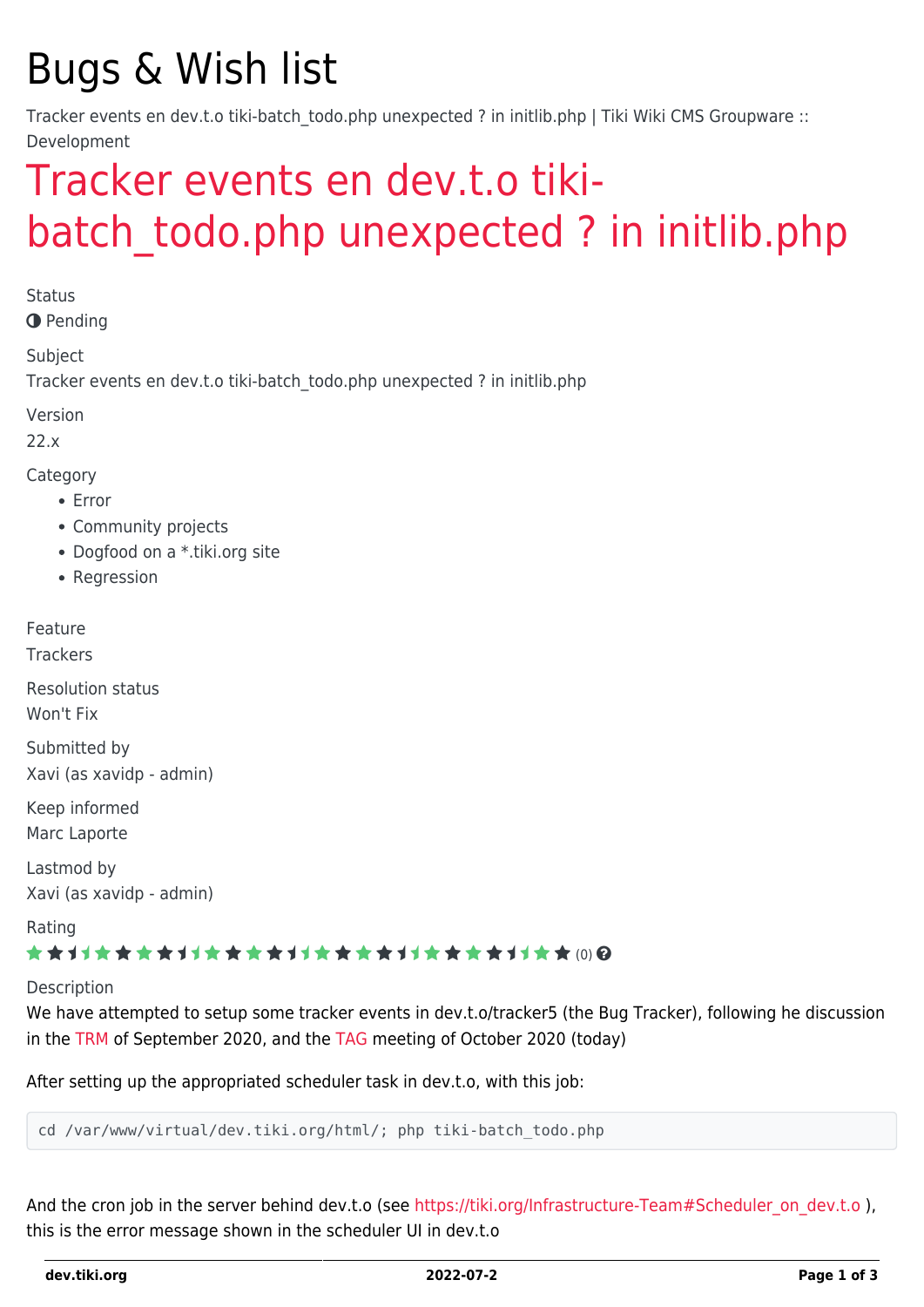# Bugs & Wish list

Tracker events en dev.t.o tiki-batch\_todo.php unexpected ? in initlib.php | Tiki Wiki CMS Groupware :: Development

## [Tracker events en dev.t.o tiki](https://dev.tiki.org/item7580-Tracker-events-en-dev-t-o-tiki-batch_todo-php-unexpected-in-initlib-php)batch todo.php unexpected ? in initlib.php

**Status** 

**O** Pending

Subject

Tracker events en dev.t.o tiki-batch\_todo.php unexpected ? in initlib.php

Version

22.x

Category

- Error
- Community projects
- Dogfood on a \*.tiki.org site
- Regression

Feature **Trackers** 

Resolution status

Won't Fix

Submitted by Xavi (as xavidp - admin)

Keep informed Marc Laporte

Lastmod by Xavi (as xavidp - admin)

Rating

#### ★★オオ★★★★オオ★★★★オオ★★★★オオ★★★★オオ★★∞Q

Description

We have attempted to setup some tracker events in dev.t.o/tracker5 (the Bug Tracker), following he discussion in the [TRM](http://tiki.org/TRM) of September 2020, and the [TAG](http://tiki.org/TAG) meeting of October 2020 (today)

After setting up the appropriated scheduler task in dev.t.o, with this job:

cd /var/www/virtual/dev.tiki.org/html/; php tiki-batch\_todo.php

And the cron job in the server behind dev.t.o (see [https://tiki.org/Infrastructure-Team#Scheduler\\_on\\_dev.t.o](https://tiki.org/Infrastructure-Team#Scheduler_on_dev.t.o) ), this is the error message shown in the scheduler UI in dev.t.o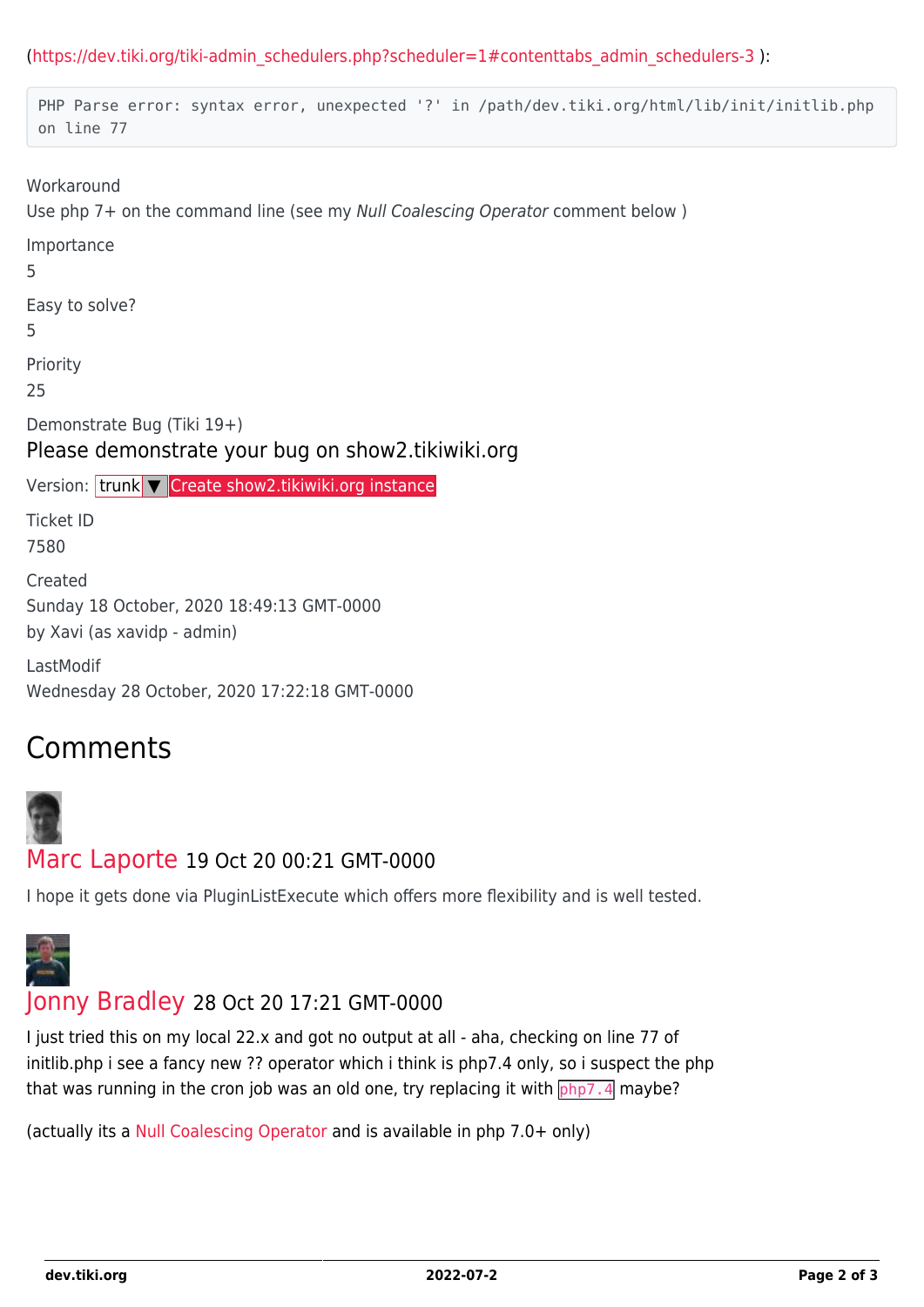([https://dev.tiki.org/tiki-admin\\_schedulers.php?scheduler=1#contenttabs\\_admin\\_schedulers-3](https://dev.tiki.org/tiki-admin_schedulers.php?scheduler=1#contenttabs_admin_schedulers-3) ):

```
PHP Parse error: syntax error, unexpected '?' in /path/dev.tiki.org/html/lib/init/initlib.php
 on line 77
Workaround
Use php 7+ on the command line (see my Null Coalescing Operator comment below )
Importance
5
Easy to solve?
5
Priority
25
Demonstrate Bug (Tiki 19+)
Please demonstrate your bug on show2.tikiwiki.org
Create show2.tikiwiki.org instance
Ticket ID
7580
Created
Sunday 18 October, 2020 18:49:13 GMT-0000
by Xavi (as xavidp - admin)
LastModif
Wednesday 28 October, 2020 17:22:18 GMT-0000
```
### Comments



#### [Marc Laporte](https://dev.tiki.org/user11197) 19 Oct 20 00:21 GMT-0000

I hope it gets done via PluginListExecute which offers more flexibility and is well tested.



### [Jonny Bradley](https://dev.tiki.org/user8515) 28 Oct 20 17:21 GMT-0000

I just tried this on my local 22.x and got no output at all - aha, checking on line 77 of initlib.php i see a fancy new ?? operator which i think is php7.4 only, so i suspect the php that was running in the cron job was an old one, try replacing it with  $\sqrt{php7.4}$  maybe?

(actually its a [Null Coalescing Operator](https://www.php.net/manual/en/language.operators.comparison.php#language.operators.comparison.coalesce) and is available in php 7.0+ only)